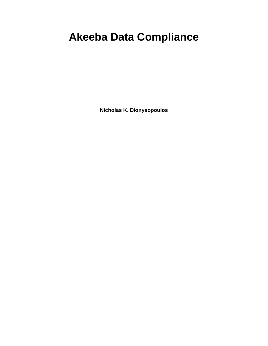# **Akeeba Data Compliance**

**Nicholas K. Dionysopoulos**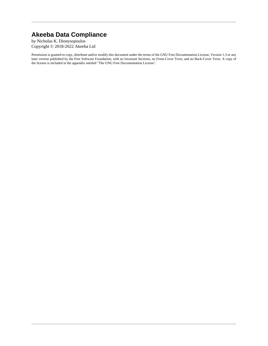### **Akeeba Data Compliance**

by Nicholas K. Dionysopoulos Copyright © 2018-2022 Akeeba Ltd

Permission is granted to copy, distribute and/or modify this document under the terms of the GNU Free Documentation License, Version 1.3 or any later version published by the Free Software Foundation; with no Invariant Sections, no Front-Cover Texts, and no Back-Cover Texts. A copy of the license is included in the appendix entitled "The GNU Free Documentation License".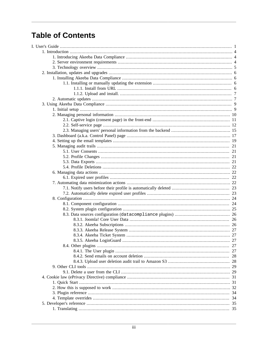## **Table of Contents**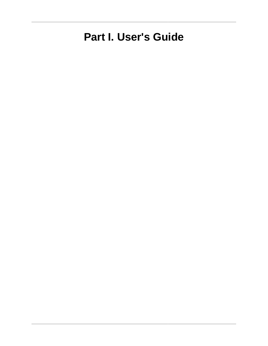# <span id="page-4-0"></span>**Part I. User's Guide**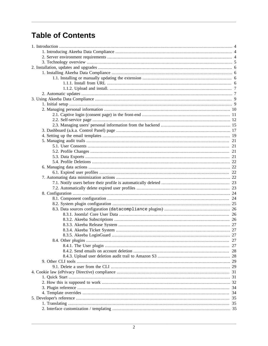## **Table of Contents**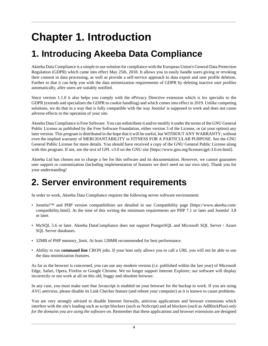# <span id="page-7-0"></span>**Chapter 1. Introduction**

# <span id="page-7-1"></span>**1. Introducing Akeeba Data Compliance**

Akeeba Data Compliance is a simple to use solution for compliance with the European Union's General Data Protection Regulation (GDPR) which came into effect May 25th, 2018. It allows you to easily handle users giving or revoking their consent to data processing, as well as provide a self-service approach to data export and user profile deletion. Further to that it can help you with the data minimization requirements of GDPR by deleting inactive user profiles automatically, after users are suitably notified.

Since version 1.1.0 it also helps you comply with the ePrivacy Directive extension which is lex specialis to the GDPR (extends and specialises the GDPR to cookie handling) and which comes into effect in 2019. Unlike competing solutions, we do that in a way that is fully compatible with the way Joomla! is supposed to work and does not cause adverse effects to the operation of your site.

Akeeba Data Compliance is Free Software. You can redistribute it and/or modify it under the terms of the GNU General Public License as published by the Free Software Foundation, either version 3 of the License, or (at your option) any later version. This program is distributed in the hope that it will be useful, but WITHOUT ANY WARRANTY; without even the implied warranty of MERCHANTABILITY or FITNESS FOR A PARTICULAR PURPOSE. See the GNU General Public License for more details. You should have received a copy of the GNU General Public License along with this program. If not, see [the text of GPL v3.0 on the GNU site](https://www.gnu.org/licenses/gpl-3.0.en.html) [<https://www.gnu.org/licenses/gpl-3.0.en.html>].

Akeeba Ltd has chosen not to charge a fee for this software and its documentation. However, we cannot guarantee user support or customization (including implementation of features we don't need on our own site). Thank you for your understanding!

## <span id="page-7-2"></span>**2. Server environment requirements**

In order to work, Akeeba Data Compliance requires the following server software environment:

- Joomla!™ and PHP version compatibilities are detailed in [our Compatibility page](https://www.akeeba.com/compatibility.html) [[https://www.akeeba.com/](https://www.akeeba.com/compatibility.html) [compatibility.html](https://www.akeeba.com/compatibility.html)]. At the time of this writing the minimum requirements are PHP 7.1 or later and Joomla! 3.8 or later.
- MySQL 5.6 or later. Akeeba DataCompliance does not support PostgreSQL and Microsoft SQL Server / Azure SQL Server databases.
- 32MB of PHP memory\_limit. At least 128MB recommended for best performance.
- Ability to run **command line** CRON jobs. If your host only allows you to call a URL you will not be able to use the data minimization features.

As far as the browser is concerned, you can use any modern version (i.e. published within the last year) of Microsoft Edge, Safari, Opera, Firefox or Google Chrome. We no longer support Internet Explorer; our software will display incorrectly or not work at all on this old, buggy and obsolete browser.

In any case, you must make sure that Javascript is enabled on your browser for the backup to work. If you are using AVG antivirus, please disable its Link Checker feature (and reboot your computer) as it is known to cause problems.

You are very strongly advised to disable Internet firewalls, antivirus applications and browser extensions which interfere with the site's loading such as script blockers (such as NoScript) and ad blockers (such as AdBlockPlus) *only for the domains you are using the software on*. Remember that these applications and browser extensions are designed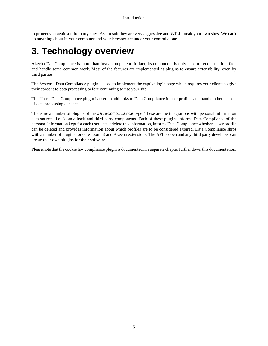to protect you against third party sites. As a result they are very aggressive and WILL break your own sites. We can't do anything about it: your computer and your browser are under your control alone.

# <span id="page-8-0"></span>**3. Technology overview**

Akeeba DataCompliance is more than just a component. In fact, its component is only used to render the interface and handle some common work. Most of the features are implemented as plugins to ensure extensibility, even by third parties.

The System - Data Compliance plugin is used to implement the captive login page which requires your clients to give their consent to data processing before continuing to use your site.

The User - Data Compliance plugin is used to add links to Data Compliance in user profiles and handle other aspects of data processing consent.

There are a number of plugins of the datacompliance type. These are the integrations with personal information data sources, i.e. Joomla itself and third party components. Each of these plugins informs Data Compliance of the personal information kept for each user, lets it delete this information, informs Data Compliance whether a user profile can be deleted and provides information about which profiles are to be considered expired. Data Compliance ships with a number of plugins for core Joomla! and Akeeba extensions. The API is open and any third party developer can create their own plugins for their software.

Please note that the cookie law compliance plugin is documented in a separate chapter further down this documentation.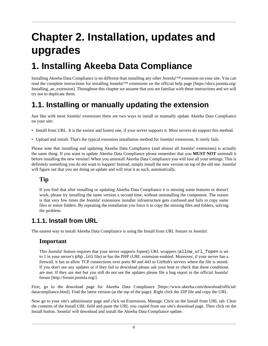# <span id="page-9-0"></span>**Chapter 2. Installation, updates and upgrades**

## <span id="page-9-1"></span>**1. Installing Akeeba Data Compliance**

Installing Akeeba Data Compliance is no different than installing any other Joomla!™ extension on your site. You can read the complete instructions for installing Joomla!™ extensions on the [official help page](https://docs.joomla.org/Installing_an_extension) [[https://docs.joomla.org/](https://docs.joomla.org/Installing_an_extension) [Installing\\_an\\_extension\]](https://docs.joomla.org/Installing_an_extension). Throughout this chapter we assume that you are familiar with these instructions and we will try not to duplicate them.

### <span id="page-9-2"></span>**1.1. Installing or manually updating the extension**

Just like with most Joomla! extensions there are two ways to install or manually update Akeeba Data Compliance on your site:

- Install from URL. It is the easiest and fastest one, if your server supports it. Most servers do support this method.
- Upload and install. That's the typical extension installation method for Joomla! extensions. It rarely fails.

Please note that installing and updating Akeeba Data Compliance (and almost all Joomla! extensions) is actually the same thing. If you want to update Akeeba Data Compliance please remember that you **MUST NOT** uninstall it before installing the new version! When you uninstall Akeeba Data Compliance you will lose all your settings. This is definitely something you do not want to happen! Instead, simply install the new version on top of the old one. Joomla! will figure out that you are doing an update and will treat it as such, automatically.

#### **Tip**

If you find that after installing or updating Akeeba Data Compliance it is missing some features or doesn't work, please try installing the same version a second time, without uninstalling the component. The reason is that very few times the Joomla! extensions installer infrastructure gets confused and fails to copy some files or entire folders. By repeating the installation you force it to copy the missing files and folders, solving the problem.

#### <span id="page-9-3"></span>**1.1.1. Install from URL**

The easiest way to install Akeeba Data Compliance is using the Install from URL feature in Joomla!.

#### **Important**

This Joomla! feature requires that your server supports fopen() URL wrappers (allow\_url\_fopen is set to 1 in your server's php.ini file) or has the PHP cURL extension enabled. Moreover, if your server has a firewall, it has to allow TCP connections over ports 80 and 443 to GitHub's servers where the file is stored. If you don't see any updates or if they fail to download please ask your host to check that these conditions are met. If they are met but you still do not see the updates please file a bug report in the [official Joomla!](http://forum.joomla.org/) [forum](http://forum.joomla.org/) [\[http://forum.joomla.org/\]](http://forum.joomla.org/).

First, go to [the download page for Akeeba Data Compliance](https://www.akeeba.com/download/official/datacompliance.html) [[https://www.akeeba.com/download/official/](https://www.akeeba.com/download/official/datacompliance.html) [datacompliance.html\]](https://www.akeeba.com/download/official/datacompliance.html). Find the latest version (at the top of the page). Right click the ZIP file and copy the URL.

Now go to your site's administator page and click on Extensions, Manage. Click on the Install from URL tab. Clear the contents of the Install URL field and paste the URL you copied from our site's download page. Then click on the Install button. Joomla! will download and install the Akeeba Data Compliance update.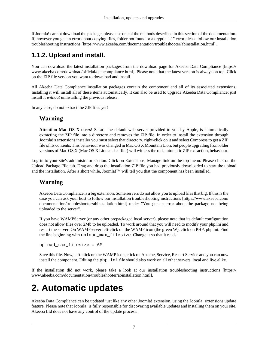If Joomla! cannot download the package, please use one of the methods described in this section of the documentation. If, however you get an error about copying files, folder not found or a cryptic "-1" error please follow [our installation](https://www.akeeba.com/documentation/troubleshooter/abinstallation.html) [troubleshooting instructions](https://www.akeeba.com/documentation/troubleshooter/abinstallation.html) [<https://www.akeeba.com/documentation/troubleshooter/abinstallation.html>].

### <span id="page-10-0"></span>**1.1.2. Upload and install.**

You can download the latest installation packages from [the download page for Akeeba Data Compliance](https://www.akeeba.com/download/official/datacompliance.html) [\[https://](https://www.akeeba.com/download/official/datacompliance.html) [www.akeeba.com/download/official/datacompliance.html\]](https://www.akeeba.com/download/official/datacompliance.html). Please note that the latest version is always on top. Click on the ZIP file version you want to download and install.

All Akeeba Data Compliance installation packages contain the component and all of its associated extensions. Installing it will install all of these items automatically. It can also be used to upgrade Akeeba Data Compliance; just install it *without* uninstalling the previous release.

In any case, do not extract the ZIP files yet!

#### **Warning**

**Attention Mac OS X users**! Safari, the default web server provided to you by Apple, is automatically extracting the ZIP file into a directory and removes the ZIP file. In order to install the extension through Joomla!'s extensions installer you must select that directory, right-click on it and select Compress to get a ZIP file of its contents. This behaviour was changed in Mac OS X Mountain Lion, but people upgrading from older versions of Mac OS X (Mac OS X Lion and earlier) will witness the old, automatic ZIP extraction, behaviour.

Log in to your site's administrator section. Click on Extensions, Manage link on the top menu. Please click on the Upload Package File tab. Drag and drop the installation ZIP file you had previously downloaded to start the upload and the installation. After a short while, Joomla!™ will tell you that the component has been installed.

#### **Warning**

Akeeba Data Compliance is a big extension. Some servers do not allow you to upload files that big. If this is the case you can ask your host to follow [our installation troubleshooting instructions](https://www.akeeba.com/documentation/troubleshooter/abinstallation.html) [[https://www.akeeba.com/](https://www.akeeba.com/documentation/troubleshooter/abinstallation.html) [documentation/troubleshooter/abinstallation.html\]](https://www.akeeba.com/documentation/troubleshooter/abinstallation.html) under "You get an error about the package not being uploaded to the server".

If you have WAMPServer (or any other prepackaged local server), please note that its default configuration does not allow files over 2Mb to be uploaded. To work around that you will need to modify your php.ini and restart the server. On WAMPserver left-click on the WAMP icon (the green W), click on PHP, php.ini. Find the line beginning with upload\_max\_filesize. Change it so that it reads:

upload\_max\_filesize = 6M

Save this file. Now, left-click on the WAMP icon, click on Apache, Service, Restart Service and you can now install the component. Editing the php. ini file should also work on all other servers, local and live alike.

If the installation did not work, please take a look at [our installation troubleshooting instructions](https://www.akeeba.com/documentation/troubleshooter/abinstallation.html) [\[https://](https://www.akeeba.com/documentation/troubleshooter/abinstallation.html) [www.akeeba.com/documentation/troubleshooter/abinstallation.html\]](https://www.akeeba.com/documentation/troubleshooter/abinstallation.html).

# <span id="page-10-1"></span>**2. Automatic updates**

Akeeba Data Compliance can be updated just like any other Joomla! extension, using the Joomla! extensions update feature. Please note that Joomla! is fully responsible for discovering available updates and installing them on your site. Akeeba Ltd does not have any control of the update process.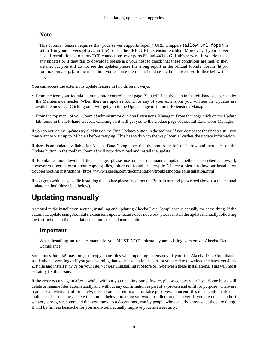#### **Note**

This Joomla! feature requires that your server supports fopen() URL wrappers (allow\_url\_fopen is set to 1 in your server's php.ini file) or has the PHP cURL extension enabled. Moreover, if your server has a firewall, it has to allow TCP connections over ports 80 and 443 to GitHub's servers. If you don't see any updates or if they fail to download please ask your host to check that these conditions are met. If they are met but you still do not see the updates please file a bug report in the [official Joomla! forum](http://forum.joomla.org/) [\[http://](http://forum.joomla.org/) [forum.joomla.org/](http://forum.joomla.org/)]. In the meantime you can use the manual update methods discussed further below this page.

You can access the extensions update feature in two different ways:

- From the icon your Joomla! administrator control panel page. You will find the icon in the left-hand sidebar, under the Maintenance header. When there are updates found for any of your extensions you will see the Updates are available message. Clicking on it will get you to the Update page of Joomla! Extensions Manager.
- From the top menu of your Joomla! administrator click on Extensions, Manager. From that page click on the Update tab found in the left-hand sidebar. Clicking on it will get you to the Update page of Joomla! Extensions Manager.

If you do not see the updates try clicking on the Find Updates button in the toolbar. If you do not see the updates still you may want to wait up to 24 hours before retrying. This has to do with the way Joomla! caches the update information.

If there is an update available for Akeeba Data Compliance tick the box to the left of its row and then click on the Update button in the toolbar. Joomla! will now download and install the update.

If Joomla! cannot download the package, please use one of the manual update methods described below. If, however you get an error about copying files, folder not found or a cryptic "-1" error please follow [our installation](https://www.akeeba.com/documentation/troubleshooter/abinstallation.html) [troubleshooting instructions](https://www.akeeba.com/documentation/troubleshooter/abinstallation.html) [<https://www.akeeba.com/documentation/troubleshooter/abinstallation.html>].

If you get a white page while installing the update please try either the Built-in method (described above) or the manual update method (described below).

### **Updating manually**

As noted in the [installation section,](#page-9-1) installing and updating Akeeba Data Compliance is actually the same thing. If the automatic update using Joomla!'s extensions update feature does not work, please install the update manually following the instructions in the [installation section of this documentation.](#page-9-1)

#### **Important**

When installing an update manually you MUST NOT uninstall your existing version of Akeeba Data Compliance.

Sometimes Joomla! may forget to copy some files when updating extensions. If you find Akeeba Data Compliance suddenly not working or if you get a warning that your installation is corrupt you need to download the latest version's ZIP file and install it *twice* on your site, *without* uninstalling it before or in-between these installations. This will most certainly fix this issue.

If the error occurs again after a while, without you updating our software, please contact your host. Some hosts will delete or rename files automatically and without any confirmation as part of a (broken and unfit for purpose) "malware scanner / antivirus". Unfortunately, these scanners return a lot of false positives -innocent files mistakenly marked as malicious- but rename / delete them nonetheless, breaking software installed on the server. If you are on such a host we very strongly recommend that you move to a decent host, run by people who actually know what they are doing. It will be far less headache for you and would actually improve your site's security.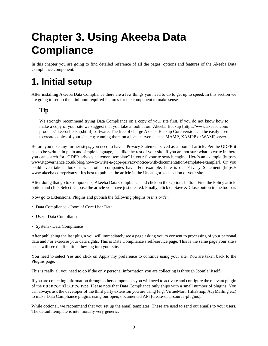# <span id="page-12-0"></span>**Chapter 3. Using Akeeba Data Compliance**

In this chapter you are going to find detailed reference of all the pages, options and features of the Akeeba Data Compliance component.

## <span id="page-12-1"></span>**1. Initial setup**

After installing Akeeba Data Compliance there are a few things you need to do to get up to speed. In this section we are going to set up the minimum required features for the component to make sense.

#### **Tip**

We strongly recommend trying Data Compliance on a copy of your site first. If you do not know how to make a copy of your site we suggest that you take a look at our [Akeeba Backup](https://www.akeeba.com/products/akeeba-backup.html) [[https://www.akeeba.com/](https://www.akeeba.com/products/akeeba-backup.html) [products/akeeba-backup.html](https://www.akeeba.com/products/akeeba-backup.html)] software. The free of charge Akeeba Backup Core version can be easily used to create copies of your site, e.g. running them on a local server such as MAMP, XAMPP or WAMPserver.

Before you take any further steps, you need to have a Privacy Statement saved as a Joomla! article. Per the GDPR it has to be written in plain and simple language, just like the rest of your site. If you are not sure what to write in there you can search for "GDPR privacy statement template" in your favourite search engine. Here's [an example \[https://](https://www.itgovernance.co.uk/blog/how-to-write-a-gdpr-privacy-notice-with-documentation-template-example/) [www.itgovernance.co.uk/blog/how-to-write-a-gdpr-privacy-notice-with-documentation-template-example/\]](https://www.itgovernance.co.uk/blog/how-to-write-a-gdpr-privacy-notice-with-documentation-template-example/). Or you could even take a look at what other companies have. For example. here is [our Privacy Statement \[https://](https://www.akeeba.com/privacy) [www.akeeba.com/privacy](https://www.akeeba.com/privacy)]. It's best to publish the article in the Uncategorized section of your site.

After doing that go to Components, Akeeba Data Compliance and click on the Options button. Find the Policy article option and click Select. Choose the article you have just created. Finally, click on Save & Close button in the toolbar.

Now go to Extensions, Plugins and publish the following plugins *in this order*:

- Data Compliance Joomla! Core User Data
- User Data Compliance
- System Data Compliance

After publishing the last plugin you will immediately see a page asking you to consent to processing of your personal data and / or exercise your data rights. This is Data Compliance's [self-service page.](#page-15-0) This is the same page your site's users will see the first time they log into your site.

You need to select Yes and click on Apply my preference to continue using your site. You are taken back to the Plugins page.

This is really all you need to do if the only personal information you are collecting is through Joomla! itself.

If you are collecting information through other components you will need to [activate and configure the relevant plugin](#page-29-0) of the [datacompliance](#page-29-0) type. Please note that Data Compliance only ships with a small number of plugins. You can always ask the developer of the third party extension you are using (e.g. VirtueMart, HikaShop, AcyMailing etc) to make Data Compliance plugins using our [open, documented API \[create-data-source-plugins](create-data-source-plugins)].

While optional, we recommend that you [set up the email templates.](#page-22-0) These are used to send out emails to your users. The default template is intentionally very generic.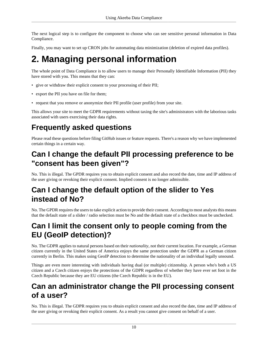The next logical step is to [configure the component](#page-27-1) to choose who can see sensitive personal information in Data Compliance.

Finally, you may want to set up CRON jobs for [automating data minimization](#page-25-3) (deletion of expired data profiles).

## <span id="page-13-0"></span>**2. Managing personal information**

The whole point of Data Compliance is to allow users to manage their Personally Identifiable Information (PII) they have stored with you. This means that they can:

- give or withdraw their explicit consent to your processing of their PII;
- export the PII you have on file for them;
- request that you remove or anonymize their PII profile (user profile) from your site.

This allows your site to meet the GDPR requirements without taxing the site's administrators with the laborious tasks associated with users exercising their data rights.

### **Frequently asked questions**

Please read these questions before filing GitHub issues or feature requests. There's a reason why we have implemented certain things in a certain way.

### **Can I change the default PII processing preference to be "consent has been given"?**

No. This is illegal. The GPDR requires you to obtain explicit consent and also record the date, time and IP address of the user giving or revoking their explicit consent. Implied consent is no longer admissible.

### **Can I change the default option of the slider to Yes instead of No?**

No. The GPDR requires the users to take explicit action to provide their consent. According to most analysts this means that the default state of a slider / radio selection must be No and the default state of a checkbox must be unchecked.

### **Can I limit the consent only to people coming from the EU (GeoIP detection)?**

No. The GDPR applies to natural persons based on their *nationality*, not their current location. For example, a German citizen currently in the United States of America enjoys the same protection under the GDPR as a German citizen currently in Berlin. This makes using GeoIP detection to determine the nationality of an individual legally unsound.

Things are even more interesting with individuals having dual (or multiple) citizenship. A person who's both a US citizen and a Czech citizen enjoys the protections of the GDPR regardless of whether they have ever set foot in the Czech Republic because they are EU citizens (the Czech Republic is in the EU).

### **Can an administrator change the PII processing consent of a user?**

No. This is illegal. The GDPR requires you to obtain explicit consent and also record the date, time and IP address of the user giving or revoking their explicit consent. As a result you cannot give consent on behalf of a user.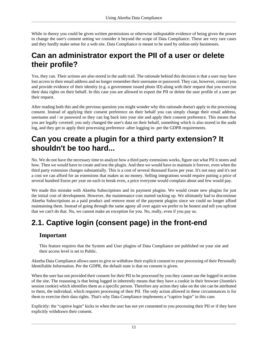While in theory you could be given written permissions or otherwise indisputable evidence of being given the power to change the user's consent setting we consider it beyond the scope of Data Compliance. These are very rare cases and they hardly make sense for a web site. Data Compliance is meant to be used by online-only businesses.

### **Can an administrator export the PII of a user or delete their profile?**

Yes, they can. Their actions are also stored in the audit trail. The rationale behind this decision is that a user may have lost access to their email address and no longer remember their username or password. They can, however, contact you and provide evidence of their identity (e.g. a government issued photo ID) along with their request that you exercise their data rights on their behalf. In this case you are allowed to export the PII or delete the user profile of a user per their request.

After reading both this and the previous question you might wonder why this rationale doesn't apply to the processing consent. Instead of applying their consent preference on their behalf you can simply change their email address, username and / or password so they can log back into your site and apply their consent preference. This means that you are legally covered: you only changed the user's data on their behalf, something which is also stored in the audit log, and they get to apply their processing preference -after logging in- per the GDPR requirements.

### **Can you create a plugin for a third party extension? It shouldn't be too hard...**

No. We do not have the necessary time to analyze how a third party extensions works, figure out what PII it stores and how. Then we would have to create and test the plugin. And then we would have to maintain it forever, even when the third party extension changes substantially. This is a cost of several thousand Euros per year. It's not easy and it's not a cost we can afford for an extensions that makes us no money. Selling integrations would require putting a price of several hundred Euros per year on each to break even, a price everyone would complain about and few would pay.

We made this mistake with Akeeba Subscriptions and its payment plugins. We would create new plugins for just the initial cost of development. However, the maintenance cost started racking up. We ultimately had to discontinue Akeeba Subscriptions as a paid product and remove most of the payment plugins since we could no longer afford maintaining them. Instead of going through the same agony all over again we prefer to be honest and tell you upfront that we can't do that. No, we cannot make an exception for you. No, really, even if you pay us.

### <span id="page-14-0"></span>**2.1. Captive login (consent page) in the front-end**

#### **Important**

This feature requires that the System and User plugins of Data Compliance are published on your site and their access level is set to Public.

Akeeba Data Compliance allows users to give or withdraw their explicit consent to your processing of their Personally Identifiable Information. Per the GDPR, the default state is that no consent is given.

When the user has not provided their consent for their PII to be processed by you they cannot use the logged in section of the site. The reasoning is that being logged in inherently means that they have a cookie in their browser (Joomla's session cookie) which identifies them as a specific person. Therefore any action they take on the site can be attributed to them, the individual, which requires processing of their PII. The only action allowed in these circumstances is for them to exercise their data rights. That's why Data Compliance implements a "captive login" in this case.

Explicitly: the "captive login" kicks in when the user has not yet consented to you processing their PII *or* if they have explicitly withdrawn their consent.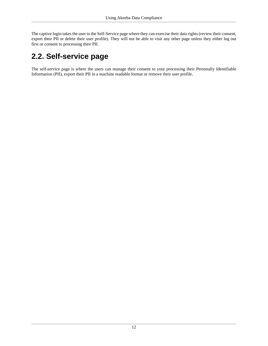The captive login takes the user to [the Self-Service page](#page-15-0) where they can exercise their data rights (review their consent, export their PII or delete their user profile). They will not be able to visit any other page unless they either log out first or consent to processing their PII.

### <span id="page-15-0"></span>**2.2. Self-service page**

The self-service page is where the users can manage their consent to your processing their Personally Identifiable Information (PII), export their PII in a machine readable format or remove their user profile.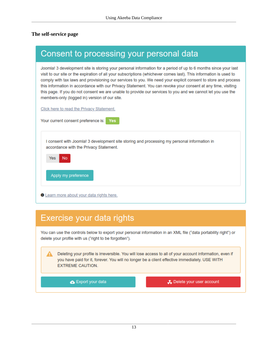#### **The self-service page**

| Consent to processing your personal data                                                                                                                                                                                                                                                                                                                                                                                                                                                                                                                                                                                             |
|--------------------------------------------------------------------------------------------------------------------------------------------------------------------------------------------------------------------------------------------------------------------------------------------------------------------------------------------------------------------------------------------------------------------------------------------------------------------------------------------------------------------------------------------------------------------------------------------------------------------------------------|
| Joomla! 3 development site is storing your personal information for a period of up to 6 months since your last<br>visit to our site or the expiration of all your subscriptions (whichever comes last). This information is used to<br>comply with tax laws and provisioning our services to you. We need your explicit consent to store and process<br>this information in accordance with our Privacy Statement. You can revoke your consent at any time, visiting<br>this page. If you do not consent we are unable to provide our services to you and we cannot let you use the<br>members-only (logged in) version of our site. |
| Click here to read the Privacy Statement.                                                                                                                                                                                                                                                                                                                                                                                                                                                                                                                                                                                            |
| Your current consent preference is:<br>Yes                                                                                                                                                                                                                                                                                                                                                                                                                                                                                                                                                                                           |
| I consent with Joomla! 3 development site storing and processing my personal information in<br>accordance with the Privacy Statement.<br><b>Yes</b><br>No.                                                                                                                                                                                                                                                                                                                                                                                                                                                                           |
| Apply my preference                                                                                                                                                                                                                                                                                                                                                                                                                                                                                                                                                                                                                  |
| <b>O</b> Learn more about your data rights here.                                                                                                                                                                                                                                                                                                                                                                                                                                                                                                                                                                                     |

### Exercise your data rights

You can use the controls below to export your personal information in an XML file ("data portability right") or delete your profile with us ("right to be forgotten").

Deleting your profile is irreversible. You will lose access to all of your account information, even if Δ you have paid for it, forever. You will no longer be a client effective immediately. USE WITH **EXTREME CAUTION.** 

Export your data

Delete your user account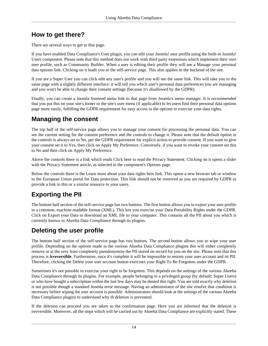### **How to get there?**

There are several ways to get to that page.

If you have enabled Data Compliance's User plugin, you can edit your Joomla! user profile using the built-in Joomla! Users component. Please note that this method does not work with third party extensions which implement their own user profile, such as Community Builder. When a user is editing their profile they will see a Manage your personal data options link. Clicking on it leads you to the self-service page. This also applies in the backend of the site.

If you are a Super User you can click edit any user's profile and you will see the same link. This will take you to the same page with a slightly different interface: it will tell you which user's personal data preferences you are managing and you won't be able to change their consent settings (because it's disallowed by the GDPR).

Finally, you can create a Joomla frontend menu link to that page from Joomla's menu manager. It is recommended that you put this on your site's footer or the site's user menu (if applicable) to let users find their personal data options page more easily, fulfilling the GDPR requirement for easy access to the options to exercise your data rights.

### **Managing the consent**

The top half of the self-service page allows you to manage your consent for processing the personal data. You can see the current setting for the consent preference and the controls to change it. Please note that the default option in the controls is always set to No, per the GDPR requirement for explicit action to provide consent. If you want to give your consent set it to Yes, then click on Apply My Preference. Conversely, if you want to revoke your consent set this to No and then click on Apply My Preference.

Above the controls there is a link which reads Click here to read the Privacy Statement. Clicking on it opens a slider with the Privacy Statement article, as selected in the component's Options page.

Below the controls there is the Learn more about your data rights here link. This opens a new browser tab or window to the European Union portal for Data protection. This link should not be removed as you are required by GDPR to provide a link to this or a similar resource to your users.

### **Exporting the PII**

The bottom half section of the self-service page has two buttons. The first button allows you to export your user profile in a common, machine-readable format (XML). This lets you exercise your Data Portability Rights under the GDPR. Click on Export your Data to download an XML file to your computer. This contains all the PII about you which is currently known to Akeeba Data Compliance through its plugins.

### **Deleting the user profile**

The bottom half section of the self-service page has two buttons. The second button allows you to wipe your user profile. Depending on the options made in the various Akeeba Data Compliance plugins this will either completely remove or at the very least completely pseudonymize the PII stored on record for you on the site. Please note that this process is **irreversible**. Furthermore, once it's complete it will be impossible to restore your user account and its PII. Therefore, clicking the Delete your user account button exercises your Right To Be Forgotten under the GDPR.

Sometimes it's not possible to exercise your right to be forgotten. This depends on the settings of the various Akeeba Data Compliance through its plugins. For example, people belonging to a privileged group (by default: Super Users) or who have bought a subscription within the last few days may be denied this right. You are told exactly why deletion is not possible though a standard Joomla error message. Having an administrator of the site resolve that condition is necessary before wiping the user account is possible. Administrators should look at the settings of the various Akeeba Data Compliance plugins to understand why th deletion is prevented.

If the deletion can proceed you are taken to the confirmation page. Here you are informed that the deletion is irreversible. Moreover, all the steps which will be carried out by Akeeba Data Compliance are explicitly stated. These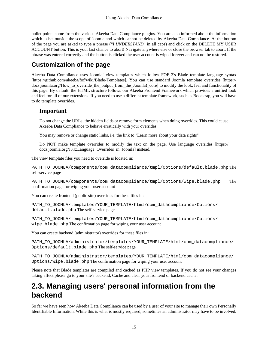bullet points come from the various Akeeba Data Compliance plugins. You are also informed about the information which exists outside the scope of Joomla and which cannot be deleted by Akeeba Data Compliance. At the bottom of the page you are asked to type a phrase ("*I UNDERSTAND*" in all caps) and click on the DELETE MY USER ACCOUNT button. This is your last chance to abort! Navigate anywhere else or close the browser tab to abort. If the phrase was entered correctly and the button is clicked the user account is wiped forever and can not be restored.

### **Customization of the page**

Akeeba Data Compliance uses Joomla! view templates which follow [FOF 3's Blade template language syntax](https://github.com/akeeba/fof/wiki/Blade-Templates) [\[https://github.com/akeeba/fof/wiki/Blade-Templates](https://github.com/akeeba/fof/wiki/Blade-Templates)]. You can use [standard Joomla template overrides \[https://](https://docs.joomla.org/How_to_override_the_output_from_the_Joomla!_core) [docs.joomla.org/How\\_to\\_override\\_the\\_output\\_from\\_the\\_Joomla!\\_core\]](https://docs.joomla.org/How_to_override_the_output_from_the_Joomla!_core) to modify the look, feel and functionality of this page. By default, the HTML structure follows our Akeeba Frontend Framework which provides a unified look and feel for all of our extensions. If you need to use a different template framework, such as Bootstrap, you will have to do template overrides.

#### **Important**

Do not change the URLs, the hidden fields or remove form elements when doing overrides. This could cause Akeeba Data Compliance to behave erratically with your overrides.

You may remove or change static links, i.e. the link to "Learn more about your data rights".

Do NOT make template overrides to modify the text on the page. Use [language overrides \[https://](https://docs.joomla.org/J3.x:Language_Overrides_in_Joomla) [docs.joomla.org/J3.x:Language\\_Overrides\\_in\\_Joomla\]](https://docs.joomla.org/J3.x:Language_Overrides_in_Joomla) instead.

The view template files you need to override is located in:

PATH\_TO\_JOOMLA/components/com\_datacompliance/tmpl/Options/default.blade.php The self-service page

PATH\_TO\_JOOMLA/components/com\_datacompliance/tmpl/Options/wipe.blade.php The confirmation page for wiping your user account

You can create frontend (public site) overrides for these files in:

PATH\_TO\_JOOMLA/templates/YOUR\_TEMPLATE/html/com\_datacompliance/Options/ default.blade.php The self-service page

PATH\_TO\_JOOMLA/templates/YOUR\_TEMPLATE/html/com\_datacompliance/Options/ wipe.blade.php The confirmation page for wiping your user account

You can create backend (administrator) overrides for these files in:

```
PATH_TO_JOOMLA/administrator/templates/YOUR_TEMPLATE/html/com_datacompliance/
Options/default.blade.php The self-service page
```

```
PATH_TO_JOOMLA/administrator/templates/YOUR_TEMPLATE/html/com_datacompliance/
Options/wipe.blade.php The confirmation page for wiping your user account
```
Please note that Blade templates are compiled and cached as PHP view templates. If you do not see your changes taking effect please go to your site's backend, Cache and clear your frontend or backend cache.

### <span id="page-18-0"></span>**2.3. Managing users' personal information from the backend**

So far we have seen how Akeeba Data Compliance can be used by a user of your site to manage their own Personally Identifiable Information. While this is what is mostly required, sometimes an administrator may have to be involved.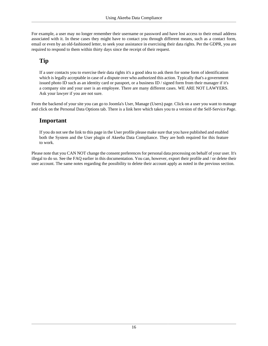For example, a user may no longer remember their username or password and have lost access to their email address associated with it. In these cases they might have to contact you through different means, such as a contact form, email or even by an old-fashioned letter, to seek your assistance in exercising their data rights. Per the GDPR, you are required to respond to them within thirty days since the receipt of their request.

#### **Tip**

If a user contacts you to exercise their data rights it's a good idea to ask them for some form of identification which is legally acceptable in case of a dispute over who authorized this action. Typically that's a government issued photo ID such as an identity card or passport, or a business ID / signed form from their manager if it's a company site and your user is an employee. There are many different cases. WE ARE NOT LAWYERS. Ask your lawyer if you are not sure.

From the backend of your site you can go to Joomla's User, Manage (Users) page. Click on a user you want to manage and click on the Personal Data Options tab. There is a link here which takes you to a version of the Self-Service Page.

#### **Important**

If you do not see the link to this page in the User profile please make sure that you have published and enabled both the System and the User plugin of Akeeba Data Compliance. They are both required for this feature to work.

Please note that you CAN NOT change the consent preferences for personal data processing on behalf of your user. It's illegal to do so. See the FAQ earlier in this documentation. You can, however, export their profile and / or delete their user account. The same notes regarding the possibility to delete their account apply as noted in the previous section.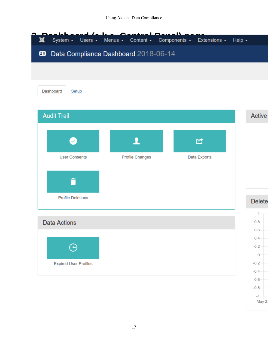<span id="page-20-0"></span>

| 図                            |                                      | n<br>r<br>System • Users • Menus • Content • Components • Extensions • Help • |                     |
|------------------------------|--------------------------------------|-------------------------------------------------------------------------------|---------------------|
| 田                            | Data Compliance Dashboard 2018-06-14 |                                                                               |                     |
|                              |                                      |                                                                               |                     |
| Dashboard<br>Setup           |                                      |                                                                               |                     |
|                              |                                      |                                                                               |                     |
| <b>Audit Trail</b>           |                                      |                                                                               | <b>Active</b>       |
|                              |                                      |                                                                               |                     |
|                              |                                      | 啓                                                                             |                     |
| <b>User Consents</b>         | Profile Changes                      | Data Exports                                                                  |                     |
|                              |                                      |                                                                               |                     |
|                              |                                      |                                                                               |                     |
| <b>Profile Deletions</b>     |                                      |                                                                               | <b>Delete</b>       |
| <b>Data Actions</b>          |                                      |                                                                               | $0.8 -$             |
|                              |                                      |                                                                               | $0.6 -$             |
| ⊕                            |                                      |                                                                               | $0.4 -$<br>$0.2 -$  |
|                              |                                      |                                                                               | $0-$                |
| <b>Expired User Profiles</b> |                                      |                                                                               | $-0.2 -$<br>$-0.4-$ |
|                              |                                      |                                                                               | $-0.6-$             |
|                              |                                      |                                                                               | $-0.8-$<br>$-1-$    |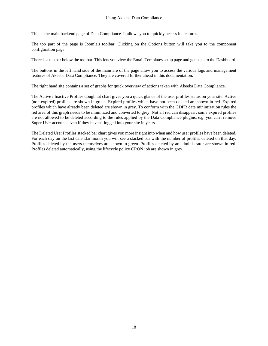This is the main backend page of Data Compliance. It allows you to quickly access its features.

The top part of the page is Joomla's toolbar. Clicking on the Options button will take you to the [component](#page-27-1) [configuration page](#page-27-1).

There is a tab bar below the toolbar. This lets you view the [Email Templates](#page-22-0) setup page and get back to the Dashboard.

The buttons in the left hand side of the main are of the page allow you to access the various logs and management features of Akeeba Data Compliance. They are covered further ahead in this documentation.

The right hand site contains a set of graphs for quick overview of actions taken with Akeeba Data Compliance.

The Active / Inactive Profiles doughnut chart gives you a quick glance of the user profiles status on your site. Active (non-expired) profiles are shown in green. [Expired profiles](#page-25-2) which have not been deleted are shown in red. Expired profiles which have already been deleted are shown in grey. To conform with the GDPR data minimization rules the red area of this graph needs to be minimized and converted to grey. Not all red can disappear: some expired profiles are not allowed to be deleted according to the rules applied by the Data Compliance plugins, e.g. you can't remove Super User accounts even if they haven't logged into your site in years.

The Deleted User Profiles stacked bar chart gives you more insight into when and how user profiles have been deleted. For each day on the last calendar month you will see a stacked bar with the number of profiles deleted on that day. Profiles deleted by the users themselves are shown in green. Profiles deleted by an administrator are shown in red. Profiles deleted automatically, using the [lifecycle policy CRON job](#page-25-3) are shown in grey.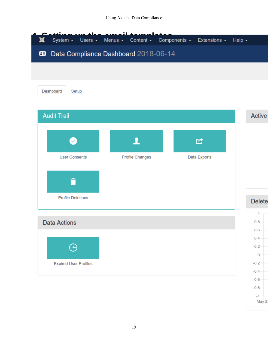<span id="page-22-0"></span>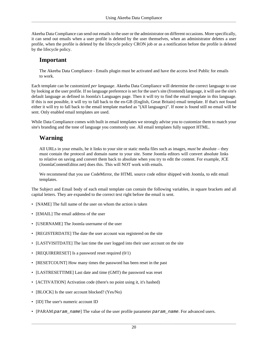Akeeba Data Compliance can send out emails to the user or the administrator on different occasions. More specifically, it can send out emails when a user profile is deleted by the user themselves, when an administrator deletes a user profile, when the profile is deleted by the [lifecycle policy CRON job](#page-25-3) or as a notification before the profile is deleted by the lifecycle policy.

#### **Important**

The Akeeba Data Compliance - Emails plugin must be activated and have the access level Public for emails to work.

Each template can be customized *per language*. Akeeba Data Compliance will determine the correct language to use by looking at the user profile. If no language preference is set for the user's site (frontend) language, it will use the site's default language as defined in Joomla's Languages page. Then it will try to find the email template in this language. If this is not possible, it will try to fall back to the en-GB (English, Great Britain) email template. If that's not found either it will try to fall back to the email template marked as "(All languages)". If none is found still no email will be sent. Only enabled email templates are used.

While Data Compliance comes with built in email templates we strongly advise you to customize them to match your site's branding and the tone of language you commonly use. All email templates fully support HTML.

### **Warning**

All URLs in your emails, be it links to your site or static media files such as images, *must* be absolute – they must contain the protocol and domain name to your site. Some Joomla editors will convert absolute links to relative on saving and convert them back to absolute when you try to edit the content. For example, JCE (JoomlaContentEditor.net) does this. This will NOT work with emails.

We recommend that you use CodeMirror, the HTML source code editor shipped with Joomla, to edit email templates.

The Subject and Email body of each email template can contain the following variables, in square brackets and all capital letters. They are expanded to the correct text right before the email is sent.

- [NAME] The full name of the user on whom the action is taken
- [EMAIL] The email address of the user
- [USERNAME] The Joomla username of the user
- [REGISTERDATE] The date the user account was registered on the site
- [LASTVISITDATE] The last time the user logged into their user account on the site
- [REQUIRERESET] Is a password reset required  $(0/1)$
- [RESETCOUNT] How many times the password has been reset in the past
- [LASTRESETTIME] Last date and time (GMT) the password was reset
- [ACTIVATION] Activation code (there's no point using it, it's hashed)
- [BLOCK] Is the user account blocked? (Yes/No)
- [ID] The user's numeric account ID
- [PARAM: param\_name] The value of the user profile parameter param\_name. For advanced users.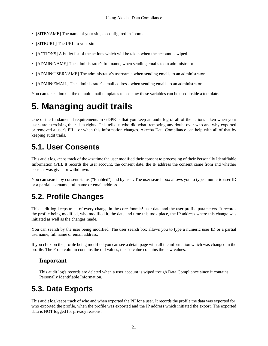- [SITENAME] The name of your site, as configured in Joomla
- [SITEURL] The URL to your site
- [ACTIONS] A bullet list of the actions which will be taken when the account is wiped
- [ADMIN:NAME] The administrator's full name, when sending emails to an administrator
- [ADMIN:USERNAME] The administrator's username, when sending emails to an administrator
- [ADMIN:EMAIL] The administrator's email address, when sending emails to an administrator

You can take a look at the default email templates to see how these variables can be used inside a template.

# <span id="page-24-0"></span>**5. Managing audit trails**

One of the fundamental requirements in GDPR is that you keep an audit log of all of the actions taken when your users are exercising their data rights. This tells us who did what, removing any doubt over who and why exported or removed a user's PII – or when this information changes. Akeeba Data Compliance can help with all of that by keeping audit trails.

### <span id="page-24-1"></span>**5.1. User Consents**

This audit log keeps track of the *last* time the user modified their consent to processing of their Personally Identifiable Information (PII). It records the user account, the consent date, the IP address the consent came from and whether consent was given or withdrawn.

You can search by consent status ("Enabled") and by user. The user search box allows you to type a numeric user ID or a partial username, full name or email address.

### <span id="page-24-2"></span>**5.2. Profile Changes**

This audit log keeps track of every change in the core Joomla! user data and the user profile parameters. It records the profile being modified, who modified it, the date and time this took place, the IP address where this change was initiated as well as the changes made.

You can search by the user being modified. The user search box allows you to type a numeric user ID or a partial username, full name or email address.

If you click on the profile being modified you can see a detail page with all the information which was changed in the profile. The From column contains the old values, the To value contains the new values.

#### **Important**

This audit log's records are deleted when a user account is wiped trough Data Compliance since it contains Personally Identifiable Information.

### <span id="page-24-3"></span>**5.3. Data Exports**

This audit log keeps track of who and when exported the PII for a user. It records the profile the data was exported for, who exported the profile, when the profile was exported and the IP address which initiated the export. The exported data is NOT logged for privacy reasons.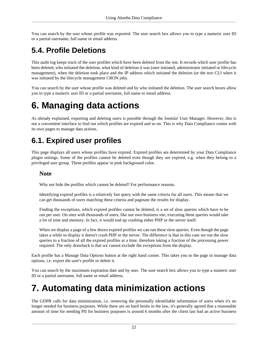You can search by the user whose profile was exported. The user search box allows you to type a numeric user ID or a partial username, full name or email address.

### <span id="page-25-0"></span>**5.4. Profile Deletions**

This audit log keeps track of the user profiles which have been deleted from the site. It records which user profile has been deleted, who initiated the deletion, what kind of deletion it was (user initiated, administrator initiated or lifecycle management), when the deletion took place and the IP address which initiated the deletion (or the text CLI when it was initiated by the lifecycle management CRON job).

You can search by the user whose profile was deleted and by who initiated the deletion. The user search boxes allow you to type a numeric user ID or a partial username, full name or email address.

## <span id="page-25-1"></span>**6. Managing data actions**

As [already explained](#page-18-0), exporting and deleting users is possible through the Joomla! User Manager. However, this is not a convenient interface to find out which profiles are expired and so on. This is why Data Compliance comes with its own pages to manage data actions.

### <span id="page-25-2"></span>**6.1. Expired user profiles**

This page displays all users whose profiles have expired. Expired profiles are determined by your Data Compliance plugin settings. Some of the profiles cannot be deleted even though they are expired, e.g. when they belong to a privileged user group. These profiles appear in pink background color.

#### **Note**

Why not hide the profiles which cannot be deleted? For performance reasons.

Identifying expired profiles is a relatively fast query with the same criteria for all users. This means that we can get thousands of users matching these criteria and paginate the results for display.

Finding the exceptions, which expired profiles cannot be deleted, is a set of slow queries which have to be run per user. On sites with thousands of users, like our own business site, executing these queries would take a lot of time and memory. In fact, it would end up crashing either PHP or the server itself.

When we display a page of a few dozen expired profiles we can run these slow queries. Even though the page takes a while to display it doesn't crash PHP or the server. The difference is that in this case we run the slow queries to a fraction of all the expired profiles at a time, therefore taking a fraction of the processing power required. The only drawback is that we cannot exclude the exceptions from the display.

Each profile has a Manage Data Options button at the right hand corner. This takes you to the page to manage data options, i.e. export the user's profile or delete it.

You can search by the maximum expiration date and by user. The user search box allows you to type a numeric user ID or a partial username, full name or email address.

# <span id="page-25-3"></span>**7. Automating data minimization actions**

The GDPR calls for data minimization, i.e. removing the personally identifiable information of users when it's no longer needed for business purposes. While there are no hard limits in the law, it's generally agreed that a reasonable amount of time for needing PII for business purposes is around 6 months after the client last had an active business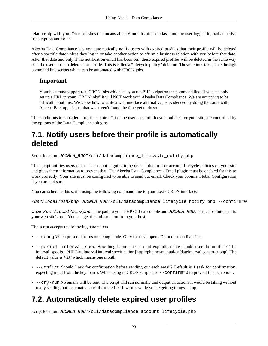relationship with you. On most sites this means about 6 months after the last time the user logged in, had an active subscription and so on.

Akeeba Data Compliance lets you automatically notify users with expired profiles that their profile will be deleted after a specific date unless they log in or take another action to affirm a business relation with you before that date. After that date and only if the notification email has been sent these expired profiles will be deleted in the same way as if the user chose to delete their profile. This is called a "lifecycle policy" deletion. These actions take place through command line scripts which can be automated with CRON jobs.

#### **Important**

Your host must support real CRON jobs which lets you run PHP scripts on the command line. If you can only set up a URL in your "CRON jobs" it will NOT work with Akeeba Data Compliance. We are not trying to be difficult about this. We know how to write a web interface alternative, as evidenced by doing the same with Akeeba Backup, it's just that we haven't found the time yet to do so.

The conditions to consider a profile "expired", i.e. the user account lifecycle policies for your site, are controlled by the options of the Data Compliance plugins.

### <span id="page-26-0"></span>**7.1. Notify users before their profile is automatically deleted**

Script location: JOOMLA\_ROOT/cli/datacompliance\_lifecycle\_notify.php

This script notifies users that their account is going to be deleted due to user account lifecycle policies on your site and gives them information to prevent that. The Akeeba Data Compliance - Email plugin must be enabled for this to work correctly. Your site must be configured to be able to send out email. Check your Joomla Global Configuration if you are not sure.

You can schedule this script using the following command line to your host's CRON interface:

/usr/local/bin/php JOOMLA\_ROOT/cli/datacompliance\_lifecycle\_notify.php --confirm=0

where /usr/local/bin/php is the path to your PHP CLI executable and JOOMLA\_ROOT is the absolute path to your web site's root. You can get this information from your host.

The script accepts the following parameters

- --debug When present it turns on debug mode. Only for developers. Do not use on live sites.
- --period interval spec How long before the account expiration date should users be notified? The interval\_spec is a [PHP DateInterval interval specification](http://php.net/manual/en/dateinterval.construct.php) [\[http://php.net/manual/en/dateinterval.construct.php\]](http://php.net/manual/en/dateinterval.construct.php). The default value is  $P1M$  which means one month.
- --confirm Should I ask for confirmation before sending out each email? Default is 1 (ask for confirmation, expecting input from the keyboard). When using in CRON scripts use  $--confirm=0$  to prevent this behaviour.
- --dry-run No emails will be sent. The script will run normally and output all actions it would be taking without really sending out the emails. Useful for the first few runs while you're getting things set up.

### <span id="page-26-1"></span>**7.2. Automatically delete expired user profiles**

Script location: JOOMLA\_ROOT/cli/datacompliance\_account\_lifecycle.php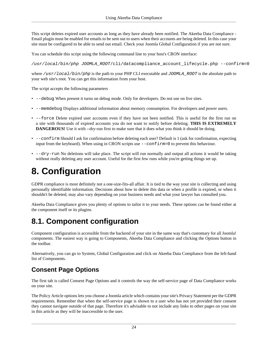This script deletes expired user accounts as long as they have already been notified. The Akeeba Data Compliance - Email plugin must be enabled for emails to be sent out to users when their accounts are being deleted. In this case your site must be configured to be able to send out email. Check your Joomla Global Configuration if you are not sure.

You can schedule this script using the following command line to your host's CRON interface:

/usr/local/bin/php JOOMLA\_ROOT/cli/datacompliance\_account\_lifecycle.php --confirm=0

where  $/usr/local/bin/pp$  is the path to your PHP CLI executable and JOOMLA\_ROOT is the absolute path to your web site's root. You can get this information from your host.

The script accepts the following parameters

- --debug When present it turns on debug mode. Only for developers. Do not use on live sites.
- --memdebug Displays additional information about memory consumption. For developers and power users.
- --force Delete expired user accounts even if they have not been notified. This is useful for the first run on a site with thousands of expired accounts you do not want to notify before deleting. **THIS IS EXTREMELY DANGEROUS!** Use it with --dry-run first to make sure that it does what you think it should be doing.
- --confirm Should I ask for confirmation before deleting each user? Default is 1 (ask for confirmation, expecting input from the keyboard). When using in CRON scripts use --confirm=0 to prevent this behaviour.
- --dry-run No deletions will take place. The script will run normally and output all actions it would be taking without really deleting any user account. Useful for the first few runs while you're getting things set up.

# <span id="page-27-0"></span>**8. Configuration**

GDPR compliance is most definitely not a one-size-fits-all affair. It is tied to the way your site is collecting and using personally identifiable information. Decisions about how to delete this data or when a profile is expired, or when it shouldn't be deleted, may also vary depending on your business needs and what your lawyer has consulted you.

Akeeba Data Compliance gives you plenty of options to tailor it to your needs. These options can be found either at the component itself or its plugins.

### <span id="page-27-1"></span>**8.1. Component configuration**

Component configuration is accessible from the backend of your site in the same way that's customary for all Joomla! components. The easiest way is going to Components, Akeeba Data Compliance and clicking the Options button in the toolbar.

Alternatively, you can go to System, Global Configuration and click on Akeeba Data Compliance from the left-hand list of Components.

### **Consent Page Options**

The first tab is called Consent Page Options and it controls the way the self-service page of Data Compliance works on your site.

The Policy Article options lets you choose a Joomla article which contains your site's Privacy Statement per the GDPR requirements. Remember that when the self-service page is shown to a user who has not yet provided their consent they cannot navigate outside of that page. Therefore it's advisable to not include any links to other pages on your site in this article as they will be inaccessible to the user.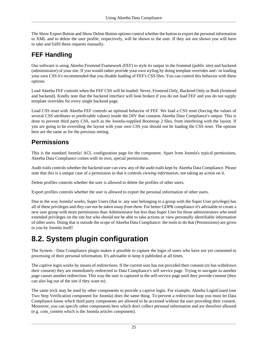The Show Export Button and Show Delete Button options control whether the button to export the personal information to XML and to delete the user profile, respectively, will be shown to the user. If they are not shown you will have to take and fulfil these requests manually.

### **FEF Handling**

Our software is using Akeeba Frontend Framework (FEF) to style its output in the frontend (public site) and backend (administrator) of your site. If you would rather provide your own styling by doing template overrides and / or loading your own CSS it's recommended that you disable loading of FEF's CSS files. You can control this behavior with these options.

Load Akeeba FEF controls when the FEF CSS will be loaded: Never, Frontend Only, Backend Only or Both (frontend and backend). Kindly note that the backend interface will look broken if you do not load FEF and you do not supply template overrides for every single backend page.

Load CSS reset with Akeeba FEF controls an optional behavior of FEF. We load a CSS reset (forcing the values of several CSS attributes to predictable values) inside the DIV that contains Akeeba Data Compliance's output. This is done to prevent third party CSS, such as the Joomla-supplied Bootstrap 2 files, from interfering with the layout. If you are going to be overriding the layout with your own CSS you should not be loading the CSS reset. The options here are the same as for the previous setting.

### **Permissions**

This is the standard Joomla! ACL configuration page for the component. Apart from Joomla's typical permissions, Akeeba Data Compliance comes with its own, special permissions.

Audit trails controls whether the backend user can view any of the audit trails kept by Akeeba Data Compliance. Please note that this is a unique case of a permission in that it controls *viewing information*, not taking an action on it.

Delete profiles controls whether the user is allowed to delete the profiles of other users.

Export profiles controls whether the user is allowed to export the personal information of other users.

Due to the way Joomla! works, Super Users (that is: any user belonging to a group with the Super User privilege) has all of these privileges and *they can not be taken away from them*. For better GDPR compliance it's advisable to create a new user group with more permissions than Administrator but less than Super User for those administrators who need extended privileges on the site but who should not be able to take actions or view personally identifiable information of other users. Doing that is outside the scope of Akeeba Data Compliance: the tools to do that (Permissions) are given to you by Joomla itself!

### <span id="page-28-0"></span>**8.2. System plugin configuration**

The System - Data Compliance plugin makes it possible to capture the login of users who have not yet consented to processing of their personal information. It's advisable to keep it published at all times.

The captive login works by means of redirections. If the current user has not provided their consent (or has withdrawn their consent) they are immediately redirected to Data Compliance's self service page. Trying to navigate to another page causes another redirection. This way the user is captured in the self-service page until they provide consent (they can also log out of the site if they want to).

The same trick may be used by other components to provide a captive login. For example, Akeeba LoginGuard (our Two Step Verification component for Joomla) does the same thing. To prevent a redirection loop you must let Data Compliance know which third party components are allowed to be accessed without the user providing their consent. Moreover, you can specify other components here which don't collect personal information and are therefore allowed (e.g. com\_content which is the Joomla articles component).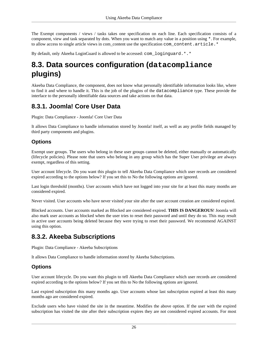The Exempt components / views / tasks takes one specification on each line. Each specification consists of a component, view and task separated by dots. When you want to match any value in a position using  $\ast$ . For example, to allow access to single article views in com\_content use the specification com\_content.article.\*

By default, only Akeeba LoginGuard is allowed to be accessed: com\_loginguard.\*.\*

### <span id="page-29-0"></span>**8.3. Data sources configuration (datacompliance plugins)**

Akeeba Data Compliance, the component, does not know what personally identifiable information looks like, where to find it and where to handle it. This is the job of the plugins of the datacompliance type. These provide the interface to the personally identifiable data sources and take actions on that data.

### <span id="page-29-1"></span>**8.3.1. Joomla! Core User Data**

Plugin: Data Compliance - Joomla! Core User Data

It allows Data Compliance to handle information stored by Joomla! itself, as well as any profile fields managed by third party components and plugins.

#### **Options**

Exempt user groups. The users who belong in these user groups cannot be deleted, either manually or automatically (lifecycle policies). Please note that users who belong in any group which has the Super User privilege are always exempt, regardless of this setting.

User account lifecycle. Do you want this plugin to tell Akeeba Data Compliance which user records are considered expired according to the options below? If you set this to No the following options are ignored.

Last login threshold (months). User accounts which have not logged into your site for at least this many months are considered expired.

Never visited. User accounts who have never visited your site after the user account creation are considered expired.

Blocked accounts. User accounts marked as Blocked are considered expired. **THIS IS DANGEROUS**! Joomla will also mark user accounts as blocked when the user tries to reset their password and until they do so. This may result in active user accounts being deleted because they were trying to reset their password. We recommend AGAINST using this option.

#### <span id="page-29-2"></span>**8.3.2. Akeeba Subscriptions**

Plugin: Data Compliance - Akeeba Subscriptions

It allows Data Compliance to handle information stored by Akeeba Subscriptions.

#### **Options**

User account lifecycle. Do you want this plugin to tell Akeeba Data Compliance which user records are considered expired according to the options below? If you set this to No the following options are ignored.

Last expired subscription this many months ago. User accounts whose last subscription expired at least this many months ago are considered expired.

Exclude users who have visited the site in the meantime. Modifies the above option. If the user with the expired subscription has visited the site after their subscription expires they are not considered expired accounts. For most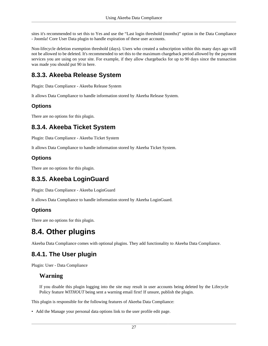sites it's recommended to set this to Yes and use the "Last login threshold (months)" option in the Data Compliance - Joomla! Core User Data plugin to handle expiration of these user accounts.

Non-lifecycle deletion exemption threshold (days). Users who created a subscription within this many days ago will not be allowed to be deleted. It's recommended to set this to the maximum chargeback period allowed by the payment services you are using on your site. For example, if they allow chargebacks for up to 90 days since the transaction was made you should put 90 in here.

### <span id="page-30-0"></span>**8.3.3. Akeeba Release System**

Plugin: Data Compliance - Akeeba Release System

It allows Data Compliance to handle information stored by Akeeba Release System.

#### **Options**

There are no options for this plugin.

#### <span id="page-30-1"></span>**8.3.4. Akeeba Ticket System**

Plugin: Data Compliance - Akeeba Ticket System

It allows Data Compliance to handle information stored by Akeeba Ticket System.

#### **Options**

There are no options for this plugin.

#### <span id="page-30-2"></span>**8.3.5. Akeeba LoginGuard**

Plugin: Data Compliance - Akeeba LoginGuard

It allows Data Compliance to handle information stored by Akeeba LoginGuard.

#### **Options**

There are no options for this plugin.

### <span id="page-30-3"></span>**8.4. Other plugins**

Akeeba Data Compliance comes with optional plugins. They add functionality to Akeeba Data Compliance.

### <span id="page-30-4"></span>**8.4.1. The User plugin**

Plugin: User - Data Compliance

#### **Warning**

If you disable this plugin logging into the site may result in user accounts being deleted by the Lifecycle Policy feature *WITHOUT* being sent a warning email first! If unsure, publish the plugin.

This plugin is responsible for the following features of Akeeba Data Compliance:

• Add the Manage your personal data options link to the user profile edit page.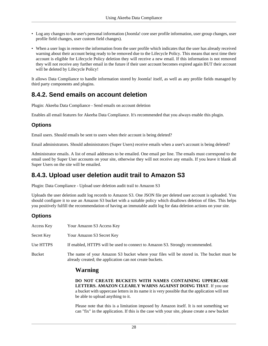- Log any changes to the user's personal information (Joomla! core user profile information, user group changes, user profile field changes, user custom field changes).
- When a user logs in remove the information from the user profile which indicates that the user has already received warning about their account being ready to be removed due to the Lifecycle Policy. This means that next time their account is eligible for Lifecycle Policy deletion they will receive a new email. If this information is not removed they will not receive any further email in the future if their user account becomes expired again BUT their account will be deleted by Lifecycle Policy!

It allows Data Compliance to handle information stored by Joomla! itself, as well as any profile fields managed by third party components and plugins.

#### <span id="page-31-0"></span>**8.4.2. Send emails on account deletion**

Plugin: Akeeba Data Compliance - Send emails on account deletion

Enables all email features for Akeeba Data Compliance. It's recommended that you always enable this plugin.

#### **Options**

Email users. Should emails be sent to users when their account is being deleted?

Email administrators. Should administrators (Super Users) receive emails when a user's account is being deleted?

Administrator emails. A list of email addresses to be emailed. One email per line. The emails must correspond to the email used by Super User accounts on your site, otherwise they will not receive any emails. If you leave it blank all Super Users on the site will be emailed.

### <span id="page-31-1"></span>**8.4.3. Upload user deletion audit trail to Amazon S3**

Plugin: Data Compliance - Upload user deletion audit trail to Amazon S3

Uploads the user deletion audit log records to Amazon S3. One JSON file per deleted user account is uploaded. You should configure it to use an Amazon S3 bucket with a suitable policy which disallows deletion of files. This helps you positively fulfill the recommendation of having an immutable audit log for data deletion actions on your site.

#### **Options**

| Access Key | Your Amazon S3 Access Key                                                                                                                            |
|------------|------------------------------------------------------------------------------------------------------------------------------------------------------|
| Secret Key | Your Amazon S3 Secret Key                                                                                                                            |
| Use HTTPS  | If enabled, HTTPS will be used to connect to Amazon S3. Strongly recommended.                                                                        |
| Bucket     | The name of your Amazon S3 bucket where your files will be stored in. The bucket must be<br>already created; the application can not create buckets. |

#### **Warning**

**DO NOT CREATE BUCKETS WITH NAMES CONTAINING UPPERCASE LETTERS. AMAZON CLEARLY WARNS AGAINST DOING THAT**. If you use a bucket with uppercase letters in its name it is very possible that the application will not be able to upload anything to it.

Please note that this is a limitation imposed by Amazon itself. It is not something we can "fix" in the application. If this is the case with your site, please create a new bucket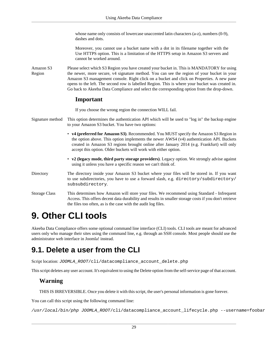whose name only consists of lowercase unaccented latin characters (a-z), numbers (0-9), dashes and dots.

Moreover, you cannot use a bucket name with a dot in its filename together with the Use HTTPS option. This is a limitation of the HTTPS setup in Amazon S3 servers and cannot be worked around.

Amazon S3 Region Please select which S3 Region you have created your bucket in. This is MANDATORY for using the newer, more secure, v4 signature method. You can see the region of your bucket in your Amazon S3 management console. Right click on a bucket and click on Properties. A new pane opens to the left. The second row is labelled Region. This is where your bucket was created in. Go back to Akeeba Data Compliance and select the corresponding option from the drop-down.

#### **Important**

If you choose the wrong region the connection WILL fail.

- Signature method This option determines the authentication API which will be used to "log in" the backup engine to your Amazon S3 bucket. You have two options:
	- **v4 (preferred for Amazon S3)**. Recommended. You MUST specify the Amazon S3 Region in the option above. This option implements the newer AWS4 (v4) authentication API. Buckets created in Amazon S3 regions brought online after January 2014 (e.g. Frankfurt) will only accept this option. Older buckets will work with either option.
	- **v2 (legacy mode, third party storage providers)**. Legacy option. We strongly advise against using it unless you have a specific reason we can't think of.
- Directory The directory inside your Amazon S3 bucket where your files will be stored in. If you want to use subdirectories, you have to use a forward slash, e.g. directory/subdirectory/ subsubdirectory.
- Storage Class This determines how Amazon will store your files. We recommend using Standard Infrequent Access. This offers decent data durability and results in smaller storage costs if you don't retrieve the files too often, as is the case with the audit log files.

# <span id="page-32-0"></span>**9. Other CLI tools**

Akeeba Data Compliance offers some optional command line interface (CLI) tools. CLI tools are meant for advanced users only who manage their sites using the command line, e.g. through an SSH console. Most people should use the administrator web interface in Joomla! instead.

### <span id="page-32-1"></span>**9.1. Delete a user from the CLI**

Script location: JOOMLA\_ROOT/cli/datacompliance\_account\_delete.php

This script deletes any user account. It's equivalent to using the Delete option from the self-service page of that account.

#### **Warning**

THIS IS IRREVERSIBLE. Once you delete it with this script, the user's personal information is gone forever.

You can call this script using the following command line:

/usr/local/bin/php JOOMLA\_ROOT/cli/datacompliance\_account\_lifecycle.php --username=foobar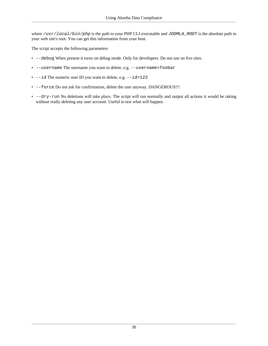where /usr/local/bin/php is the path to your PHP CLI executable and JOOMLA\_ROOT is the absolute path to your web site's root. You can get this information from your host.

The script accepts the following parameters

- --debug When present it turns on debug mode. Only for developers. Do not use on live sites.
- --username The username you want to delete, e.g. --username=foobar
- $\bullet$  --id The numeric user ID you want to delete, e.g.  $-\text{id}=123$
- --force Do not ask for confirmation, delete the user anyway. DANGEROUS!!!
- --dry-run No deletions will take place. The script will run normally and output all actions it would be taking without really deleting any user account. Useful to test what will happen.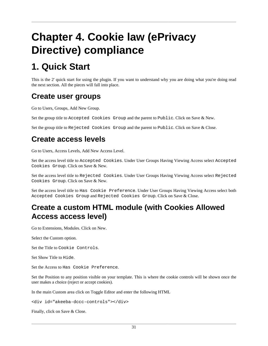# <span id="page-34-0"></span>**Chapter 4. Cookie law (ePrivacy Directive) compliance**

# <span id="page-34-1"></span>**1. Quick Start**

This is the 2' quick start for using the plugin. If you want to understand why you are doing what you're doing read the next section. All the pieces will fall into place.

### **Create user groups**

Go to Users, Groups, Add New Group.

Set the group title to Accepted Cookies Group and the parent to Public. Click on Save & New.

Set the group title to Rejected Cookies Group and the parent to Public. Click on Save & Close.

### **Create access levels**

Go to Users, Access Levels, Add New Access Level.

Set the access level title to Accepted Cookies. Under User Groups Having Viewing Access select Accepted Cookies Group. Click on Save & New.

Set the access level title to Rejected Cookies. Under User Groups Having Viewing Access select Rejected Cookies Group. Click on Save & New.

Set the access level title to Has Cookie Preference. Under User Groups Having Viewing Access select both Accepted Cookies Group and Rejected Cookies Group. Click on Save & Close.

### **Create a custom HTML module (with Cookies Allowed Access access level)**

Go to Extensions, Modules. Click on New.

Select the Custom option.

Set the Title to Cookie Controls.

Set Show Title to Hide.

Set the Access to Has Cookie Preference.

Set the Position to any position visible on your template. This is where the cookie controls will be shown once the user makes a choice (reject or accept cookies).

In the main Custom area click on Toggle Editor and enter the following HTML

<div id="akeeba-dccc-controls"></div>

Finally, click on Save & Close.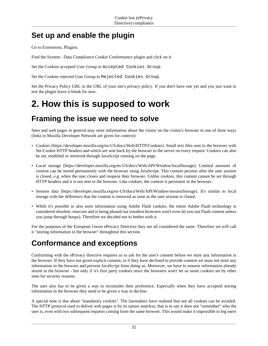### **Set up and enable the plugin**

Go to Extensions, Plugins.

Find the System - Data Compliance Cookie Conformance plugin and click on it.

Set the Cookies accepted User Group to Accepted Cookies Group.

Set the Cookies rejected User Group to Rejected Cookies Group.

Set the Privacy Policy URL to the URL of your site's privacy policy. If you don't have one yet and you just want to test the plugin leave it blank for now.

## <span id="page-35-0"></span>**2. How this is supposed to work**

### **Framing the issue we need to solve**

Sites and web pages in general may store information about the visitor on the visitor's browser in one of three ways (links to Mozilla Developer Network are given for context):

- [Cookies](https://developer.mozilla.org/en-US/docs/Web/HTTP/Cookies) [[https://developer.mozilla.org/en-US/docs/Web/HTTP/Cookies\]](https://developer.mozilla.org/en-US/docs/Web/HTTP/Cookies). Small text files sent to the browser with Set-Cookie HTTP headers and which are sent back by the browser to the server on every request. Cookies can also be set, modified or retrieved through JavaScript running on the page.
- [Local storage](https://developer.mozilla.org/en-US/docs/Web/API/Window/localStorage) [\[https://developer.mozilla.org/en-US/docs/Web/API/Window/localStorage\]](https://developer.mozilla.org/en-US/docs/Web/API/Window/localStorage). Limited amounts of content can be stored permanently with the browser using JavaScript. This content persists after the user session is closed, e.g. when the user closes and reopens their browser. Unlike cookies, this content cannot be set through HTTP headers and it is not sent to the browser. Like cookies, the content is persistent in the browser.
- [Session data](https://developer.mozilla.org/en-US/docs/Web/API/Window/sessionStorage) [\[https://developer.mozilla.org/en-US/docs/Web/API/Window/sessionStorage](https://developer.mozilla.org/en-US/docs/Web/API/Window/sessionStorage)]. It's similar to local storage with the difference that the content is removed as soon as the user session is closed.
- While it's possible to also store information using Adobe Flash cookies, the entire Adobe Flash technology is considered obsolete, insecure and is being phased out (modern browsers won't even let you run Flash content unless you jump through hoops). Therefore we decided not to bother with it.

For the purposes of the European Union ePrivacy Directive they are all considered the same. Therefore we will call it "storing information in the browser" throughout this section.

### **Conformance and exceptions**

Conforming with the ePrivacy directive requires us to ask for the user's consent before we store any information in the browser. If they have not given explicit consent, or if they have declined to provide consent we must not store any information in the browser and prevent JavaScript from doing so. Moreover, we have to remove information already stored in the browser - but only if it's first party cookies since the browsers won't let us unset cookies set by other sites for security reasons.

The user also has to be given a way to reconsider their preference. Especially when they have accepted storing information in the browser they need to be given a way to decline.

A special note is due about "mandatory cookies". The lawmakers have realised that not all cookies can be avoided. The HTTP protocol used to deliver web pages is by its nature *stateless*, that is to say it does not "remember" who the user is, even with two subsequent requests coming from the same browser. This would make it impossible to log users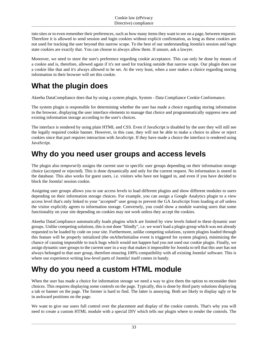into sites or to even remember their preferences, such as how many items they want to see on a page, between requests. Therefore it is allowed to send session and login cookies without explicit confirmation, as long as these cookies are not used for tracking the user beyond this narrow scope. To the best of our understanding Joomla's session and login state cookies are exactly that. You can choose to always allow them. If unsure, ask a lawyer.

Moreover, we need to store the user's preference regarding cookie acceptance. This can only be done by means of a cookie and is, therefore, allowed again if it's not used for tracking outside that narrow scope. Our plugin does use a cookie like that and it's always allowed to be set. At the very least, when a user makes a choice regarding storing information in their browser will set this cookie.

### **What the plugin does**

Akeeba DataCompliance does that by using a system plugin, System - Data Compliance Cookie Conformance.

The system plugin is responsible for determining whether the user has made a choice regarding storing information in the browser, displaying the user interface elements to manage that choice and programmatically suppress new and existing information storage according to the user's choices.

The interface is rendered by using plain HTML and CSS. Even if JavaScript is disabled by the user they will still see the legally required cookie banner. However, in this case, they will not be able to make a choice to allow or reject cookies since that part requires interaction with JavaScript. If they have made a choice the interface is rendered using JavaScript.

### **Why do you need user groups and access levels**

The plugin also *temporarily* assigns the current user to specific user groups depending on their information storage choice (accepted or rejected). This is done dynamically and only for the current request. No information is stored in the database. This also works for guest users, i.e. visitors who have not logged in, and even if you have decided to block the Joomla! session cookie.

Assigning user groups allows you to use access levels to load different plugins and show different modules to users depending on their information storage choices. For example, you can assign a Google Analytics plugin to a view access level that's only linked to your "accepted" user group to prevent the GA JavaScript from loading *at all* unless the visitor explicitly agrees to information storage. Conversely, you could show a module warning users that some functionality on your site depending on cookies may not work unless they accept the cookies.

Akeeba DataCompliance automatically loads plugins which are limited by view levels linked to these dynamic user groups. Unlike competing solutions, this is not done "blindly", i.e. we won't load a plugin group which was not already requested to be loaded by code on your site. Furthermore, unlike competing solutions, system plugins loaded through this feature will be properly initialized (the onAfterInitialise event is triggered for system plugins), minimizing the chance of causing impossible to track bugs which would not happen had you not used our cookie plugin. Finally, we assign dynamic user groups to the current user in a way that makes it impossible for Joomla to tell that this user has not always belonged to that user group, therefore ensuring 100% compatibility with all existing Joomla! software. This is where our experience writing low-level parts of Joomla! itself comes in handy.

### **Why do you need a custom HTML module**

When the user has made a choice for information storage we need a way to give them the option to reconsider their choices. This requires displaying some controls on the page. Typically, this is done by third party solutions displaying a tab or banner on the page. The former is hard to find. The latter is annoying. Both are likely to display ugly or be in awkward positions on the page.

We want to give our users full control over the placement and display of the cookie controls. That's why you will need to create a custom HTML module with a special DIV which tells our plugin where to render the controls. The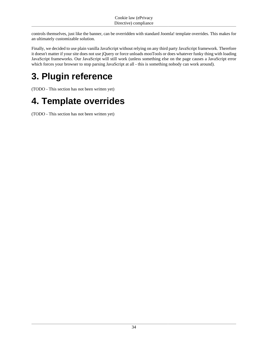controls themselves, just like the banner, can be overridden with standard Joomla! template overrides. This makes for an ultimately customizable solution.

Finally, we decided to use plain vanilla JavaScript without relying on any third party JavaScript framework. Therefore it doesn't matter if your site does not use jQuery or force unloads mooTools or does whatever funky thing with loading JavaScript frameworks. Our JavaScript will still work (unless something else on the page causes a JavaScript error which forces your browser to stop parsing JavaScript at all - this is something nobody can work around).

# <span id="page-37-0"></span>**3. Plugin reference**

(TODO - This section has not been written yet)

# <span id="page-37-1"></span>**4. Template overrides**

(TODO - This section has not been written yet)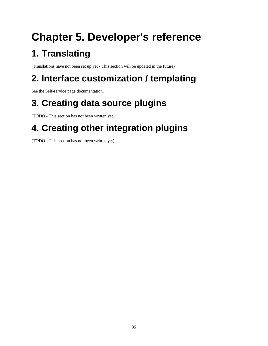# <span id="page-38-0"></span>**Chapter 5. Developer's reference**

# <span id="page-38-1"></span>**1. Translating**

(Translations have not been set up yet - This section will be updated in the future)

# <span id="page-38-2"></span>**2. Interface customization / templating**

See the [Self-service page documentation.](#page-15-0)

# <span id="page-38-3"></span>**3. Creating data source plugins**

(TODO - This section has not been written yet)

# <span id="page-38-4"></span>**4. Creating other integration plugins**

(TODO - This section has not been written yet)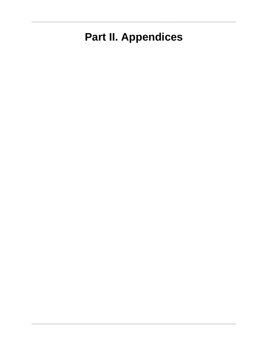# <span id="page-39-0"></span>**Part II. Appendices**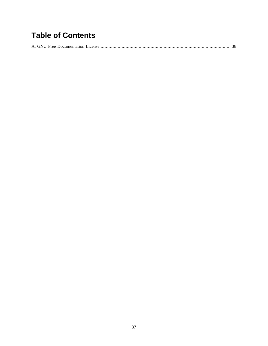## **Table of Contents**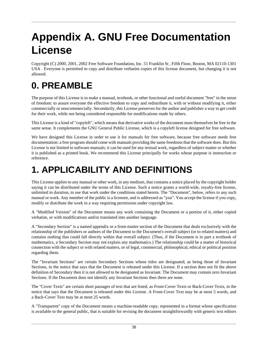# <span id="page-41-0"></span>**Appendix A. GNU Free Documentation License**

Copyright (C) 2000, 2001, 2002 Free Software Foundation, Inc. 51 Franklin St , Fifth Floor, Boston, MA 02110-1301 USA . Everyone is permitted to copy and distribute verbatim copies of this license document, but changing it is not allowed.

# **0. PREAMBLE**

The purpose of this License is to make a manual, textbook, or other functional and useful document "free" in the sense of freedom: to assure everyone the effective freedom to copy and redistribute it, with or without modifying it, either commercially or noncommercially. Secondarily, this License preserves for the author and publisher a way to get credit for their work, while not being considered responsible for modifications made by others.

This License is a kind of "copyleft", which means that derivative works of the document must themselves be free in the same sense. It complements the GNU General Public License, which is a copyleft license designed for free software.

We have designed this License in order to use it for manuals for free software, because free software needs free documentation: a free program should come with manuals providing the same freedoms that the software does. But this License is not limited to software manuals; it can be used for any textual work, regardless of subject matter or whether it is published as a printed book. We recommend this License principally for works whose purpose is instruction or reference.

# **1. APPLICABILITY AND DEFINITIONS**

This License applies to any manual or other work, in any medium, that contains a notice placed by the copyright holder saying it can be distributed under the terms of this License. Such a notice grants a world-wide, royalty-free license, unlimited in duration, to use that work under the conditions stated herein. The "Document", below, refers to any such manual or work. Any member of the public is a licensee, and is addressed as "you". You accept the license if you copy, modify or distribute the work in a way requiring permission under copyright law.

A "Modified Version" of the Document means any work containing the Document or a portion of it, either copied verbatim, or with modifications and/or translated into another language.

A "Secondary Section" is a named appendix or a front-matter section of the Document that deals exclusively with the relationship of the publishers or authors of the Document to the Document's overall subject (or to related matters) and contains nothing that could fall directly within that overall subject. (Thus, if the Document is in part a textbook of mathematics, a Secondary Section may not explain any mathematics.) The relationship could be a matter of historical connection with the subject or with related matters, or of legal, commercial, philosophical, ethical or political position regarding them.

The "Invariant Sections" are certain Secondary Sections whose titles are designated, as being those of Invariant Sections, in the notice that says that the Document is released under this License. If a section does not fit the above definition of Secondary then it is not allowed to be designated as Invariant. The Document may contain zero Invariant Sections. If the Document does not identify any Invariant Sections then there are none.

The "Cover Texts" are certain short passages of text that are listed, as Front-Cover Texts or Back-Cover Texts, in the notice that says that the Document is released under this License. A Front-Cover Text may be at most 5 words, and a Back-Cover Text may be at most 25 words.

A "Transparent" copy of the Document means a machine-readable copy, represented in a format whose specification is available to the general public, that is suitable for revising the document straightforwardly with generic text editors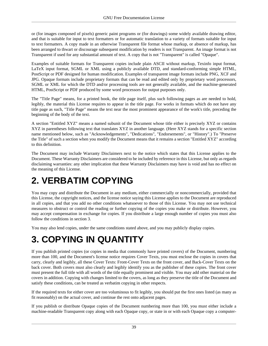or (for images composed of pixels) generic paint programs or (for drawings) some widely available drawing editor, and that is suitable for input to text formatters or for automatic translation to a variety of formats suitable for input to text formatters. A copy made in an otherwise Transparent file format whose markup, or absence of markup, has been arranged to thwart or discourage subsequent modification by readers is not Transparent. An image format is not Transparent if used for any substantial amount of text. A copy that is not "Transparent" is called "Opaque".

Examples of suitable formats for Transparent copies include plain ASCII without markup, Texinfo input format, LaTeX input format, SGML or XML using a publicly available DTD, and standard-conforming simple HTML, PostScript or PDF designed for human modification. Examples of transparent image formats include PNG, XCF and JPG. Opaque formats include proprietary formats that can be read and edited only by proprietary word processors, SGML or XML for which the DTD and/or processing tools are not generally available, and the machine-generated HTML, PostScript or PDF produced by some word processors for output purposes only.

The "Title Page" means, for a printed book, the title page itself, plus such following pages as are needed to hold, legibly, the material this License requires to appear in the title page. For works in formats which do not have any title page as such, "Title Page" means the text near the most prominent appearance of the work's title, preceding the beginning of the body of the text.

A section "Entitled XYZ" means a named subunit of the Document whose title either is precisely XYZ or contains XYZ in parentheses following text that translates XYZ in another language. (Here XYZ stands for a specific section name mentioned below, such as "Acknowledgements", "Dedications", "Endorsements", or "History".) To "Preserve the Title" of such a section when you modify the Document means that it remains a section "Entitled XYZ" according to this definition.

The Document may include Warranty Disclaimers next to the notice which states that this License applies to the Document. These Warranty Disclaimers are considered to be included by reference in this License, but only as regards disclaiming warranties: any other implication that these Warranty Disclaimers may have is void and has no effect on the meaning of this License.

# **2. VERBATIM COPYING**

You may copy and distribute the Document in any medium, either commercially or noncommercially, provided that this License, the copyright notices, and the license notice saying this License applies to the Document are reproduced in all copies, and that you add no other conditions whatsoever to those of this License. You may not use technical measures to obstruct or control the reading or further copying of the copies you make or distribute. However, you may accept compensation in exchange for copies. If you distribute a large enough number of copies you must also follow the conditions in section 3.

You may also lend copies, under the same conditions stated above, and you may publicly display copies.

# **3. COPYING IN QUANTITY**

If you publish printed copies (or copies in media that commonly have printed covers) of the Document, numbering more than 100, and the Document's license notice requires Cover Texts, you must enclose the copies in covers that carry, clearly and legibly, all these Cover Texts: Front-Cover Texts on the front cover, and Back-Cover Texts on the back cover. Both covers must also clearly and legibly identify you as the publisher of these copies. The front cover must present the full title with all words of the title equally prominent and visible. You may add other material on the covers in addition. Copying with changes limited to the covers, as long as they preserve the title of the Document and satisfy these conditions, can be treated as verbatim copying in other respects.

If the required texts for either cover are too voluminous to fit legibly, you should put the first ones listed (as many as fit reasonably) on the actual cover, and continue the rest onto adjacent pages.

If you publish or distribute Opaque copies of the Document numbering more than 100, you must either include a machine-readable Transparent copy along with each Opaque copy, or state in or with each Opaque copy a computer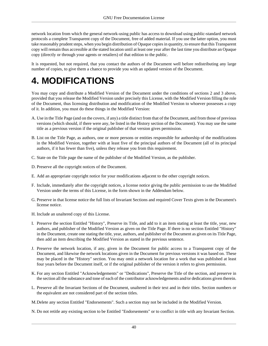network location from which the general network-using public has access to download using public-standard network protocols a complete Transparent copy of the Document, free of added material. If you use the latter option, you must take reasonably prudent steps, when you begin distribution of Opaque copies in quantity, to ensure that this Transparent copy will remain thus accessible at the stated location until at least one year after the last time you distribute an Opaque copy (directly or through your agents or retailers) of that edition to the public.

It is requested, but not required, that you contact the authors of the Document well before redistributing any large number of copies, to give them a chance to provide you with an updated version of the Document.

## **4. MODIFICATIONS**

You may copy and distribute a Modified Version of the Document under the conditions of sections 2 and 3 above, provided that you release the Modified Version under precisely this License, with the Modified Version filling the role of the Document, thus licensing distribution and modification of the Modified Version to whoever possesses a copy of it. In addition, you must do these things in the Modified Version:

- A. Use in the Title Page (and on the covers, if any) a title distinct from that of the Document, and from those of previous versions (which should, if there were any, be listed in the History section of the Document). You may use the same title as a previous version if the original publisher of that version gives permission.
- B. List on the Title Page, as authors, one or more persons or entities responsible for authorship of the modifications in the Modified Version, together with at least five of the principal authors of the Document (all of its principal authors, if it has fewer than five), unless they release you from this requirement.
- C. State on the Title page the name of the publisher of the Modified Version, as the publisher.
- D. Preserve all the copyright notices of the Document.
- E. Add an appropriate copyright notice for your modifications adjacent to the other copyright notices.
- F. Include, immediately after the copyright notices, a license notice giving the public permission to use the Modified Version under the terms of this License, in the form shown in the Addendum below.
- G. Preserve in that license notice the full lists of Invariant Sections and required Cover Texts given in the Document's license notice.
- H. Include an unaltered copy of this License.
- I. Preserve the section Entitled "History", Preserve its Title, and add to it an item stating at least the title, year, new authors, and publisher of the Modified Version as given on the Title Page. If there is no section Entitled "History" in the Document, create one stating the title, year, authors, and publisher of the Document as given on its Title Page, then add an item describing the Modified Version as stated in the previous sentence.
- J. Preserve the network location, if any, given in the Document for public access to a Transparent copy of the Document, and likewise the network locations given in the Document for previous versions it was based on. These may be placed in the "History" section. You may omit a network location for a work that was published at least four years before the Document itself, or if the original publisher of the version it refers to gives permission.
- K. For any section Entitled "Acknowledgements" or "Dedications", Preserve the Title of the section, and preserve in the section all the substance and tone of each of the contributor acknowledgements and/or dedications given therein.
- L. Preserve all the Invariant Sections of the Document, unaltered in their text and in their titles. Section numbers or the equivalent are not considered part of the section titles.
- M.Delete any section Entitled "Endorsements". Such a section may not be included in the Modified Version.
- N. Do not retitle any existing section to be Entitled "Endorsements" or to conflict in title with any Invariant Section.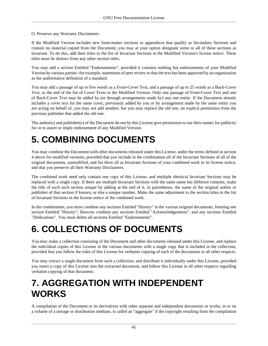O. Preserve any Warranty Disclaimers.

If the Modified Version includes new front-matter sections or appendices that qualify as Secondary Sections and contain no material copied from the Document, you may at your option designate some or all of these sections as invariant. To do this, add their titles to the list of Invariant Sections in the Modified Version's license notice. These titles must be distinct from any other section titles.

You may add a section Entitled "Endorsements", provided it contains nothing but endorsements of your Modified Version by various parties--for example, statements of peer review or that the text has been approved by an organization as the authoritative definition of a standard.

You may add a passage of up to five words as a Front-Cover Text, and a passage of up to 25 words as a Back-Cover Text, to the end of the list of Cover Texts in the Modified Version. Only one passage of Front-Cover Text and one of Back-Cover Text may be added by (or through arrangements made by) any one entity. If the Document already includes a cover text for the same cover, previously added by you or by arrangement made by the same entity you are acting on behalf of, you may not add another; but you may replace the old one, on explicit permission from the previous publisher that added the old one.

The author(s) and publisher(s) of the Document do not by this License give permission to use their names for publicity for or to assert or imply endorsement of any Modified Version.

# **5. COMBINING DOCUMENTS**

You may combine the Document with other documents released under this License, under the terms defined in section 4 above for modified versions, provided that you include in the combination all of the Invariant Sections of all of the original documents, unmodified, and list them all as Invariant Sections of your combined work in its license notice, and that you preserve all their Warranty Disclaimers.

The combined work need only contain one copy of this License, and multiple identical Invariant Sections may be replaced with a single copy. If there are multiple Invariant Sections with the same name but different contents, make the title of each such section unique by adding at the end of it, in parentheses, the name of the original author or publisher of that section if known, or else a unique number. Make the same adjustment to the section titles in the list of Invariant Sections in the license notice of the combined work.

In the combination, you must combine any sections Entitled "History" in the various original documents, forming one section Entitled "History"; likewise combine any sections Entitled "Acknowledgements", and any sections Entitled "Dedications". You must delete all sections Entitled "Endorsements".

# **6. COLLECTIONS OF DOCUMENTS**

You may make a collection consisting of the Document and other documents released under this License, and replace the individual copies of this License in the various documents with a single copy that is included in the collection, provided that you follow the rules of this License for verbatim copying of each of the documents in all other respects.

You may extract a single document from such a collection, and distribute it individually under this License, provided you insert a copy of this License into the extracted document, and follow this License in all other respects regarding verbatim copying of that document.

# **7. AGGREGATION WITH INDEPENDENT WORKS**

A compilation of the Document or its derivatives with other separate and independent documents or works, in or on a volume of a storage or distribution medium, is called an "aggregate" if the copyright resulting from the compilation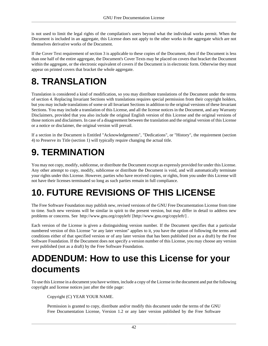is not used to limit the legal rights of the compilation's users beyond what the individual works permit. When the Document is included in an aggregate, this License does not apply to the other works in the aggregate which are not themselves derivative works of the Document.

If the Cover Text requirement of section 3 is applicable to these copies of the Document, then if the Document is less than one half of the entire aggregate, the Document's Cover Texts may be placed on covers that bracket the Document within the aggregate, or the electronic equivalent of covers if the Document is in electronic form. Otherwise they must appear on printed covers that bracket the whole aggregate.

# **8. TRANSLATION**

Translation is considered a kind of modification, so you may distribute translations of the Document under the terms of section 4. Replacing Invariant Sections with translations requires special permission from their copyright holders, but you may include translations of some or all Invariant Sections in addition to the original versions of these Invariant Sections. You may include a translation of this License, and all the license notices in the Document, and any Warranty Disclaimers, provided that you also include the original English version of this License and the original versions of those notices and disclaimers. In case of a disagreement between the translation and the original version of this License or a notice or disclaimer, the original version will prevail.

If a section in the Document is Entitled "Acknowledgements", "Dedications", or "History", the requirement (section 4) to Preserve its Title (section 1) will typically require changing the actual title.

# **9. TERMINATION**

You may not copy, modify, sublicense, or distribute the Document except as expressly provided for under this License. Any other attempt to copy, modify, sublicense or distribute the Document is void, and will automatically terminate your rights under this License. However, parties who have received copies, or rights, from you under this License will not have their licenses terminated so long as such parties remain in full compliance.

# **10. FUTURE REVISIONS OF THIS LICENSE**

The Free Software Foundation may publish new, revised versions of the GNU Free Documentation License from time to time. Such new versions will be similar in spirit to the present version, but may differ in detail to address new problems or concerns. See<http://www.gnu.org/copyleft/>[[http://www.gnu.org/copyleft/\]](http://www.gnu.org/copyleft/) .

Each version of the License is given a distinguishing version number. If the Document specifies that a particular numbered version of this License "or any later version" applies to it, you have the option of following the terms and conditions either of that specified version or of any later version that has been published (not as a draft) by the Free Software Foundation. If the Document does not specify a version number of this License, you may choose any version ever published (not as a draft) by the Free Software Foundation.

## **ADDENDUM: How to use this License for your documents**

To use this License in a document you have written, include a copy of the License in the document and put the following copyright and license notices just after the title page:

Copyright (C) YEAR YOUR NAME.

Permission is granted to copy, distribute and/or modify this document under the terms of the GNU Free Documentation License, Version 1.2 or any later version published by the Free Software